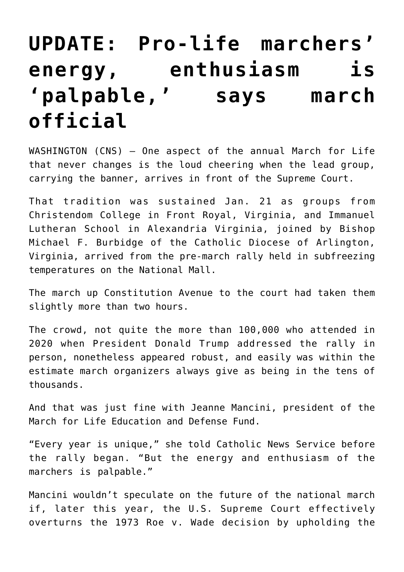## **[UPDATE: Pro-life marchers'](https://www.osvnews.com/amp/2022/01/21/pro-life-marchers-energy-enthusiasm-is-palpable-says-march-official/) [energy, enthusiasm is](https://www.osvnews.com/amp/2022/01/21/pro-life-marchers-energy-enthusiasm-is-palpable-says-march-official/) ['palpable,' says march](https://www.osvnews.com/amp/2022/01/21/pro-life-marchers-energy-enthusiasm-is-palpable-says-march-official/) [official](https://www.osvnews.com/amp/2022/01/21/pro-life-marchers-energy-enthusiasm-is-palpable-says-march-official/)**

WASHINGTON (CNS) — One aspect of the annual March for Life that never changes is the loud cheering when the lead group, carrying the banner, arrives in front of the Supreme Court.

That tradition was sustained Jan. 21 as groups from Christendom College in Front Royal, Virginia, and Immanuel Lutheran School in Alexandria Virginia, joined by Bishop Michael F. Burbidge of the Catholic Diocese of Arlington, Virginia, arrived from the pre-march rally held in subfreezing temperatures on the National Mall.

The march up Constitution Avenue to the court had taken them slightly more than two hours.

The crowd, not quite the more than 100,000 who attended in 2020 when President Donald Trump addressed the rally in person, nonetheless appeared robust, and easily was within the estimate march organizers always give as being in the tens of thousands.

And that was just fine with Jeanne Mancini, president of the March for Life Education and Defense Fund.

"Every year is unique," she told Catholic News Service before the rally began. "But the energy and enthusiasm of the marchers is palpable."

Mancini wouldn't speculate on the future of the national march if, later this year, the U.S. Supreme Court effectively overturns the 1973 Roe v. Wade decision by upholding the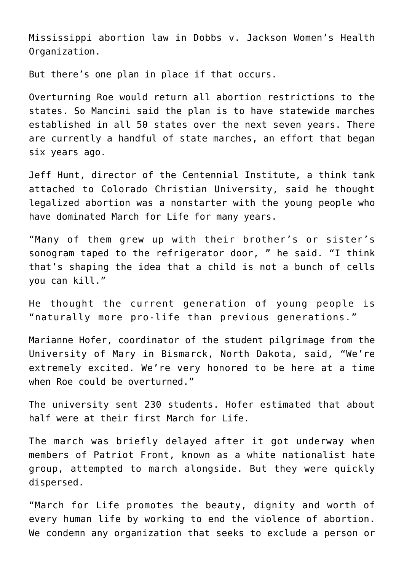Mississippi abortion law in Dobbs v. Jackson Women's Health Organization.

But there's one plan in place if that occurs.

Overturning Roe would return all abortion restrictions to the states. So Mancini said the plan is to have statewide marches established in all 50 states over the next seven years. There are currently a handful of state marches, an effort that began six years ago.

Jeff Hunt, director of the Centennial Institute, a think tank attached to Colorado Christian University, said he thought legalized abortion was a nonstarter with the young people who have dominated March for Life for many years.

"Many of them grew up with their brother's or sister's sonogram taped to the refrigerator door, " he said. "I think that's shaping the idea that a child is not a bunch of cells you can kill."

He thought the current generation of young people is "naturally more pro-life than previous generations."

Marianne Hofer, coordinator of the student pilgrimage from the University of Mary in Bismarck, North Dakota, said, "We're extremely excited. We're very honored to be here at a time when Roe could be overturned."

The university sent 230 students. Hofer estimated that about half were at their first March for Life.

The march was briefly delayed after it got underway when members of Patriot Front, known as a white nationalist hate group, attempted to march alongside. But they were quickly dispersed.

"March for Life promotes the beauty, dignity and worth of every human life by working to end the violence of abortion. We condemn any organization that seeks to exclude a person or